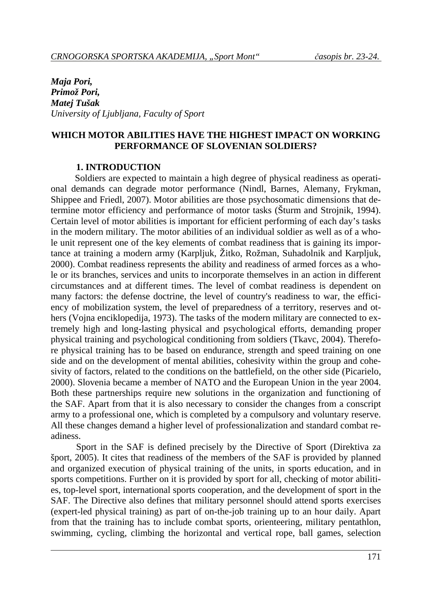*Maja Pori, Primož Pori, Matej Tušak University of Ljubljana, Faculty of Sport* 

#### **WHICH MOTOR ABILITIES HAVE THE HIGHEST IMPACT ON WORKING PERFORMANCE OF SLOVENIAN SOLDIERS?**

#### **1. INTRODUCTION**

Soldiers are expected to maintain a high degree of physical readiness as operational demands can degrade motor performance (Nindl, Barnes, Alemany, Frykman, Shippee and Friedl, 2007). Motor abilities are those psychosomatic dimensions that determine motor efficiency and performance of motor tasks (Šturm and Strojnik, 1994). Certain level of motor abilities is important for efficient performing of each day's tasks in the modern military. The motor abilities of an individual soldier as well as of a whole unit represent one of the key elements of combat readiness that is gaining its importance at training a modern army (Karpljuk, Žitko, Rožman, Suhadolnik and Karpljuk, 2000). Combat readiness represents the ability and readiness of armed forces as a whole or its branches, services and units to incorporate themselves in an action in different circumstances and at different times. The level of combat readiness is dependent on many factors: the defense doctrine, the level of country's readiness to war, the efficiency of mobilization system, the level of preparedness of a territory, reserves and others (Vojna enciklopedija, 1973). The tasks of the modern military are connected to extremely high and long-lasting physical and psychological efforts, demanding proper physical training and psychological conditioning from soldiers (Tkavc, 2004). Therefore physical training has to be based on endurance, strength and speed training on one side and on the development of mental abilities, cohesivity within the group and cohesivity of factors, related to the conditions on the battlefield, on the other side (Picarielo, 2000). Slovenia became a member of NATO and the European Union in the year 2004. Both these partnerships require new solutions in the organization and functioning of the SAF. Apart from that it is also necessary to consider the changes from a conscript army to a professional one, which is completed by a compulsory and voluntary reserve. All these changes demand a higher level of professionalization and standard combat readiness.

Sport in the SAF is defined precisely by the Directive of Sport (Direktiva za šport, 2005). It cites that readiness of the members of the SAF is provided by planned and organized execution of physical training of the units, in sports education, and in sports competitions. Further on it is provided by sport for all, checking of motor abilities, top-level sport, international sports cooperation, and the development of sport in the SAF. The Directive also defines that military personnel should attend sports exercises (expert-led physical training) as part of on-the-job training up to an hour daily. Apart from that the training has to include combat sports, orienteering, military pentathlon, swimming, cycling, climbing the horizontal and vertical rope, ball games, selection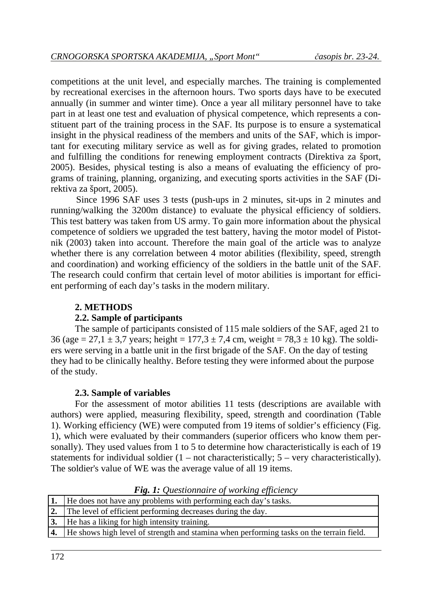competitions at the unit level, and especially marches. The training is complemented by recreational exercises in the afternoon hours. Two sports days have to be executed annually (in summer and winter time). Once a year all military personnel have to take part in at least one test and evaluation of physical competence, which represents a constituent part of the training process in the SAF. Its purpose is to ensure a systematical insight in the physical readiness of the members and units of the SAF, which is important for executing military service as well as for giving grades, related to promotion and fulfilling the conditions for renewing employment contracts (Direktiva za šport, 2005). Besides, physical testing is also a means of evaluating the efficiency of programs of training, planning, organizing, and executing sports activities in the SAF (Direktiva za šport, 2005).

Since 1996 SAF uses 3 tests (push-ups in 2 minutes, sit-ups in 2 minutes and running/walking the 3200m distance) to evaluate the physical efficiency of soldiers. This test battery was taken from US army. To gain more information about the physical competence of soldiers we upgraded the test battery, having the motor model of Pistotnik (2003) taken into account. Therefore the main goal of the article was to analyze whether there is any correlation between 4 motor abilities (flexibility, speed, strength and coordination) and working efficiency of the soldiers in the battle unit of the SAF. The research could confirm that certain level of motor abilities is important for efficient performing of each day's tasks in the modern military.

# **2. METHODS**

# **2.2. Sample of participants**

The sample of participants consisted of 115 male soldiers of the SAF, aged 21 to 36 (age = 27,1  $\pm$  3,7 years; height = 177,3  $\pm$  7,4 cm, weight = 78,3  $\pm$  10 kg). The soldiers were serving in a battle unit in the first brigade of the SAF. On the day of testing they had to be clinically healthy. Before testing they were informed about the purpose of the study.

# **2.3. Sample of variables**

For the assessment of motor abilities 11 tests (descriptions are available with authors) were applied, measuring flexibility, speed, strength and coordination (Table 1). Working efficiency (WE) were computed from 19 items of soldier's efficiency (Fig. 1), which were evaluated by their commanders (superior officers who know them personally). They used values from 1 to 5 to determine how characteristically is each of 19 statements for individual soldier  $(1 - not characteristically; 5 - very characteristically)$ . The soldier's value of WE was the average value of all 19 items.

| 1.   He does not have any problems with performing each day's tasks.                       |
|--------------------------------------------------------------------------------------------|
| <b>2.</b> The level of efficient performing decreases during the day.                      |
| 3. He has a liking for high intensity training.                                            |
| 4. He shows high level of strength and stamina when performing tasks on the terrain field. |
|                                                                                            |

*Fig. 1: Questionnaire of working efficiency*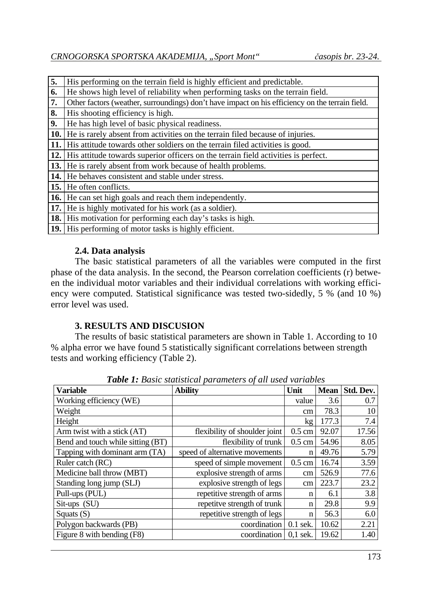| 5.   | His performing on the terrain field is highly efficient and predictable.                        |
|------|-------------------------------------------------------------------------------------------------|
| 6.   | He shows high level of reliability when performing tasks on the terrain field.                  |
| 7.   | Other factors (weather, surroundings) don't have impact on his efficiency on the terrain field. |
| 8.   | His shooting efficiency is high.                                                                |
| 9.   | He has high level of basic physical readiness.                                                  |
| 10.  | He is rarely absent from activities on the terrain filed because of injuries.                   |
| 11.  | His attitude towards other soldiers on the terrain filed activities is good.                    |
| 12.1 | His attitude towards superior officers on the terrain field activities is perfect.              |
|      | 13. He is rarely absent from work because of health problems.                                   |
| 14.  | He behaves consistent and stable under stress.                                                  |
|      | <b>15.</b> He often conflicts.                                                                  |
|      | <b>16.</b> He can set high goals and reach them independently.                                  |
| 17.1 | He is highly motivated for his work (as a soldier).                                             |
| 18.1 | His motivation for performing each day's tasks is high.                                         |
|      | <b>19.</b> His performing of motor tasks is highly efficient.                                   |

# **2.4. Data analysis**

The basic statistical parameters of all the variables were computed in the first phase of the data analysis. In the second, the Pearson correlation coefficients (r) between the individual motor variables and their individual correlations with working efficiency were computed. Statistical significance was tested two-sidedly, 5 % (and 10 %) error level was used.

# **3. RESULTS AND DISCUSION**

The results of basic statistical parameters are shown in Table 1. According to 10 % alpha error we have found 5 statistically significant correlations between strength tests and working efficiency (Table 2).

| <b>Variable</b>                   | <b>Table 1.</b> Dasic statistical parameters of all used variables<br><b>Ability</b> | Unit             | <b>Mean</b> | Std. Dev. |
|-----------------------------------|--------------------------------------------------------------------------------------|------------------|-------------|-----------|
| Working efficiency (WE)           |                                                                                      | value            | 3.6         | 0.7       |
| Weight                            |                                                                                      | cm               | 78.3        | 10        |
| Height                            |                                                                                      | kg               | 177.3       | 7.4       |
| Arm twist with a stick (AT)       | flexibility of shoulder joint                                                        | $0.5 \text{ cm}$ | 92.07       | 17.56     |
| Bend and touch while sitting (BT) | flexibility of trunk                                                                 | $0.5 \text{ cm}$ | 54.96       | 8.05      |
| Tapping with dominant arm (TA)    | speed of alternative movements                                                       | n                | 49.76       | 5.79      |
| Ruler catch (RC)                  | speed of simple movement                                                             | $0.5 \text{ cm}$ | 16.74       | 3.59      |
| Medicine ball throw (MBT)         | explosive strength of arms                                                           | cm               | 526.9       | 77.6      |
| Standing long jump (SLJ)          | explosive strength of legs                                                           | cm               | 223.7       | 23.2      |
| Pull-ups (PUL)                    | repetitive strength of arms                                                          | n                | 6.1         | 3.8       |
| Sit-ups (SU)                      | repetitve strength of trunk                                                          | n                | 29.8        | 9.9       |
| Squats $(S)$                      | repetitive strength of legs                                                          | n                | 56.3        | 6.0       |
| Polygon backwards (PB)            | coordination                                                                         | $0.1$ sek.       | 10.62       | 2.21      |
| Figure 8 with bending (F8)        | coordination                                                                         | $0.1$ sek.       | 19.62       | 1.40      |

*Table 1: Basic statistical parameters of all used variables*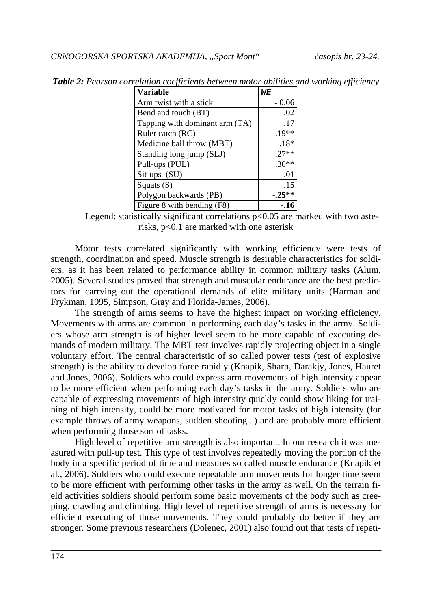| <b>Variable</b>                | WЕ       |
|--------------------------------|----------|
| Arm twist with a stick         | $-0.06$  |
| Bend and touch (BT)            | .02      |
| Tapping with dominant arm (TA) | .17      |
| Ruler catch (RC)               | $-.19**$ |
| Medicine ball throw (MBT)      | $.18*$   |
| Standing long jump (SLJ)       | $.27**$  |
| Pull-ups (PUL)                 | $.30**$  |
| $Sit-ups (SU)$                 | .01      |
| Squats $(S)$                   | .15      |
| Polygon backwards (PB)         | $-25**$  |
| Figure 8 with bending (F8)     | - 16     |

*Table 2: Pearson correlation coefficients between motor abilities and working efficiency* 

Legend: statistically significant correlations  $p<0.05$  are marked with two asterisks, p<0.1 are marked with one asterisk

Motor tests correlated significantly with working efficiency were tests of strength, coordination and speed. Muscle strength is desirable characteristics for soldiers, as it has been related to performance ability in common military tasks (Alum, 2005). Several studies proved that strength and muscular endurance are the best predictors for carrying out the operational demands of elite military units (Harman and Frykman, 1995, Simpson, Gray and Florida-James, 2006).

The strength of arms seems to have the highest impact on working efficiency. Movements with arms are common in performing each day's tasks in the army. Soldiers whose arm strength is of higher level seem to be more capable of executing demands of modern military. The MBT test involves rapidly projecting object in a single voluntary effort. The central characteristic of so called power tests (test of explosive strength) is the ability to develop force rapidly (Knapik, Sharp, Darakjy, Jones, Hauret and Jones, 2006). Soldiers who could express arm movements of high intensity appear to be more efficient when performing each day's tasks in the army. Soldiers who are capable of expressing movements of high intensity quickly could show liking for training of high intensity, could be more motivated for motor tasks of high intensity (for example throws of army weapons, sudden shooting...) and are probably more efficient when performing those sort of tasks.

High level of repetitive arm strength is also important. In our research it was measured with pull-up test. This type of test involves repeatedly moving the portion of the body in a specific period of time and measures so called muscle endurance (Knapik et al., 2006). Soldiers who could execute repeatable arm movements for longer time seem to be more efficient with performing other tasks in the army as well. On the terrain field activities soldiers should perform some basic movements of the body such as creeping, crawling and climbing. High level of repetitive strength of arms is necessary for efficient executing of those movements. They could probably do better if they are stronger. Some previous researchers (Dolenec, 2001) also found out that tests of repeti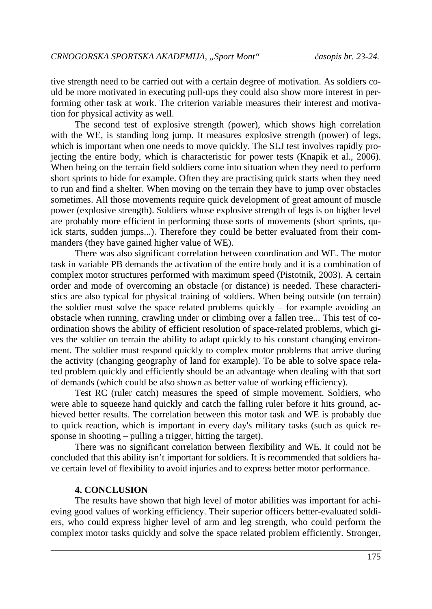tive strength need to be carried out with a certain degree of motivation. As soldiers could be more motivated in executing pull-ups they could also show more interest in performing other task at work. The criterion variable measures their interest and motivation for physical activity as well.

The second test of explosive strength (power), which shows high correlation with the WE, is standing long jump. It measures explosive strength (power) of legs, which is important when one needs to move quickly. The SLJ test involves rapidly projecting the entire body, which is characteristic for power tests (Knapik et al., 2006). When being on the terrain field soldiers come into situation when they need to perform short sprints to hide for example. Often they are practising quick starts when they need to run and find a shelter. When moving on the terrain they have to jump over obstacles sometimes. All those movements require quick development of great amount of muscle power (explosive strength). Soldiers whose explosive strength of legs is on higher level are probably more efficient in performing those sorts of movements (short sprints, quick starts, sudden jumps...). Therefore they could be better evaluated from their commanders (they have gained higher value of WE).

There was also significant correlation between coordination and WE. The motor task in variable PB demands the activation of the entire body and it is a combination of complex motor structures performed with maximum speed (Pistotnik, 2003). A certain order and mode of overcoming an obstacle (or distance) is needed. These characteristics are also typical for physical training of soldiers. When being outside (on terrain) the soldier must solve the space related problems quickly – for example avoiding an obstacle when running, crawling under or climbing over a fallen tree... This test of coordination shows the ability of efficient resolution of space-related problems, which gives the soldier on terrain the ability to adapt quickly to his constant changing environment. The soldier must respond quickly to complex motor problems that arrive during the activity (changing geography of land for example). To be able to solve space related problem quickly and efficiently should be an advantage when dealing with that sort of demands (which could be also shown as better value of working efficiency).

Test RC (ruler catch) measures the speed of simple movement. Soldiers, who were able to squeeze hand quickly and catch the falling ruler before it hits ground, achieved better results. The correlation between this motor task and WE is probably due to quick reaction, which is important in every day's military tasks (such as quick response in shooting – pulling a trigger, hitting the target).

There was no significant correlation between flexibility and WE. It could not be concluded that this ability isn't important for soldiers. It is recommended that soldiers have certain level of flexibility to avoid injuries and to express better motor performance.

#### **4. CONCLUSION**

The results have shown that high level of motor abilities was important for achieving good values of working efficiency. Their superior officers better-evaluated soldiers, who could express higher level of arm and leg strength, who could perform the complex motor tasks quickly and solve the space related problem efficiently. Stronger,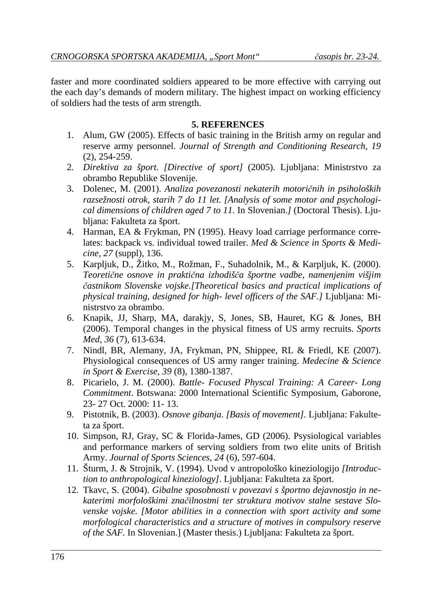faster and more coordinated soldiers appeared to be more effective with carrying out the each day's demands of modern military. The highest impact on working efficiency of soldiers had the tests of arm strength.

# **5. REFERENCES**

- 1. Alum, GW (2005). Effects of basic training in the British army on regular and reserve army personnel. *Journal of Strength and Conditioning Research, 19* (2), 254-259.
- 2. *Direktiva za šport. [Directive of sport]* (2005). Ljubljana: Ministrstvo za obrambo Republike Slovenije.
- 3. Dolenec, M. (2001). *Analiza povezanosti nekaterih motoričnih in psiholoških razsežnosti otrok, starih 7 do 11 let. [Analysis of some motor and psychological dimensions of children aged 7 to 11.* In Slovenian.*]* (Doctoral Thesis). Ljubljana: Fakulteta za šport.
- 4. Harman, EA & Frykman, PN (1995). Heavy load carriage performance correlates: backpack vs. individual towed trailer. *Med & Science in Sports & Medicine, 27* (suppl), 136.
- 5. Karpljuk, D., Žitko, M., Rožman, F., Suhadolnik, M., & Karpljuk, K. (2000). *Teoretične osnove in praktična izhodišča športne vadbe, namenjenim višjim častnikom Slovenske vojske.[Theoretical basics and practical implications of physical training, designed for high- level officers of the SAF.]* Ljubljana: Ministrstvo za obrambo.
- 6. Knapik, JJ, Sharp, MA, darakjy, S, Jones, SB, Hauret, KG & Jones, BH (2006). Temporal changes in the physical fitness of US army recruits. *Sports Med, 36* (7), 613-634.
- 7. Nindl, BR, Alemany, JA, Frykman, PN, Shippee, RL & Friedl, KE (2007). Physiological consequences of US army ranger training. *Medecine & Science in Sport & Exercise, 39* (8), 1380-1387.
- 8. Picarielo, J. M. (2000). *Battle- Focused Physcal Training: A Career- Long Commitment*. Botswana: 2000 International Scientific Symposium, Gaborone, 23- 27 Oct. 2000: 11- 13.
- 9. Pistotnik, B. (2003). *Osnove gibanja*. *[Basis of movement].* Ljubljana: Fakulteta za šport.
- 10. Simpson, RJ, Gray, SC & Florida-James, GD (2006). Psysiological variables and performance markers of serving soldiers from two elite units of British Army. *Journal of Sports Sciences, 24* (6), 597-604.
- 11. Šturm, J. & Strojnik, V. (1994). Uvod v antropološko kineziologijo *[Introduction to anthropological kineziology]*. Ljubljana: Fakulteta za šport.
- 12. Tkavc, S. (2004). *Gibalne sposobnosti v povezavi s športno dejavnostjo in nekaterimi morfološkimi značilnostmi ter struktura motivov stalne sestave Slovenske vojske. [Motor abilities in a connection with sport activity and some morfological characteristics and a structure of motives in compulsory reserve of the SAF.* In Slovenian.] (Master thesis.) Ljubljana: Fakulteta za šport.